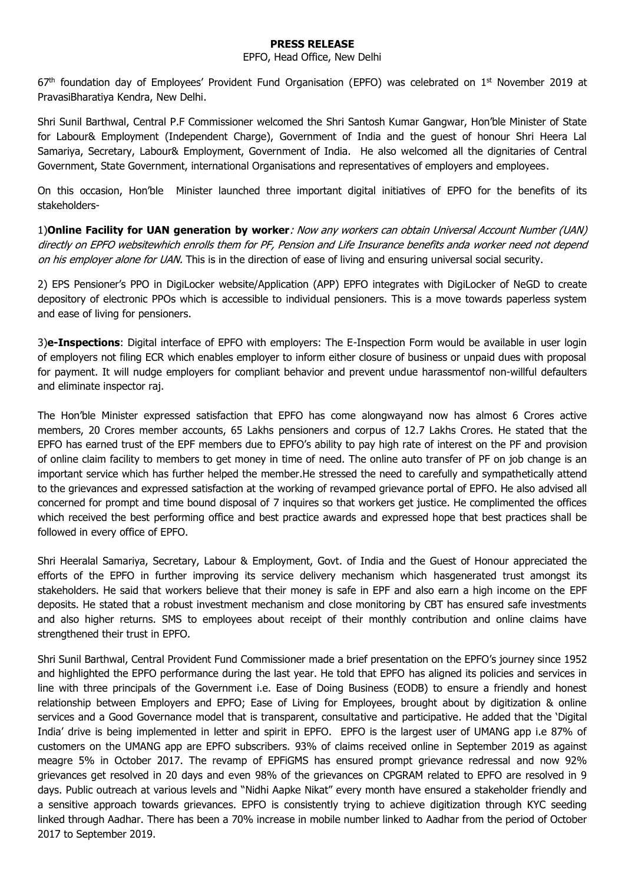## **PRESS RELEASE**

## EPFO, Head Office, New Delhi

67<sup>th</sup> foundation day of Employees' Provident Fund Organisation (EPFO) was celebrated on 1<sup>st</sup> November 2019 at PravasiBharatiya Kendra, New Delhi.

Shri Sunil Barthwal, Central P.F Commissioner welcomed the Shri Santosh Kumar Gangwar, Hon'ble Minister of State for Labour& Employment (Independent Charge), Government of India and the guest of honour Shri Heera Lal Samariya, Secretary, Labour& Employment, Government of India. He also welcomed all the dignitaries of Central Government, State Government, international Organisations and representatives of employers and employees.

On this occasion, Hon'ble Minister launched three important digital initiatives of EPFO for the benefits of its stakeholders-

1)**Online Facility for UAN generation by worker**: Now any workers can obtain Universal Account Number (UAN) directly on EPFO websitewhich enrolls them for PF, Pension and Life Insurance benefits anda worker need not depend on his employer alone for UAN. This is in the direction of ease of living and ensuring universal social security.

2) EPS Pensioner's PPO in DigiLocker website/Application (APP) EPFO integrates with DigiLocker of NeGD to create depository of electronic PPOs which is accessible to individual pensioners. This is a move towards paperless system and ease of living for pensioners.

3)**e-Inspections**: Digital interface of EPFO with employers: The E-Inspection Form would be available in user login of employers not filing ECR which enables employer to inform either closure of business or unpaid dues with proposal for payment. It will nudge employers for compliant behavior and prevent undue harassmentof non-willful defaulters and eliminate inspector raj.

The Hon'ble Minister expressed satisfaction that EPFO has come alongwayand now has almost 6 Crores active members, 20 Crores member accounts, 65 Lakhs pensioners and corpus of 12.7 Lakhs Crores. He stated that the EPFO has earned trust of the EPF members due to EPFO's ability to pay high rate of interest on the PF and provision of online claim facility to members to get money in time of need. The online auto transfer of PF on job change is an important service which has further helped the member.He stressed the need to carefully and sympathetically attend to the grievances and expressed satisfaction at the working of revamped grievance portal of EPFO. He also advised all concerned for prompt and time bound disposal of 7 inquires so that workers get justice. He complimented the offices which received the best performing office and best practice awards and expressed hope that best practices shall be followed in every office of EPFO.

Shri Heeralal Samariya, Secretary, Labour & Employment, Govt. of India and the Guest of Honour appreciated the efforts of the EPFO in further improving its service delivery mechanism which hasgenerated trust amongst its stakeholders. He said that workers believe that their money is safe in EPF and also earn a high income on the EPF deposits. He stated that a robust investment mechanism and close monitoring by CBT has ensured safe investments and also higher returns. SMS to employees about receipt of their monthly contribution and online claims have strengthened their trust in EPFO.

Shri Sunil Barthwal, Central Provident Fund Commissioner made a brief presentation on the EPFO's journey since 1952 and highlighted the EPFO performance during the last year. He told that EPFO has aligned its policies and services in line with three principals of the Government i.e. Ease of Doing Business (EODB) to ensure a friendly and honest relationship between Employers and EPFO; Ease of Living for Employees, brought about by digitization & online services and a Good Governance model that is transparent, consultative and participative. He added that the 'Digital India' drive is being implemented in letter and spirit in EPFO. EPFO is the largest user of UMANG app i.e 87% of customers on the UMANG app are EPFO subscribers. 93% of claims received online in September 2019 as against meagre 5% in October 2017. The revamp of EPFiGMS has ensured prompt grievance redressal and now 92% grievances get resolved in 20 days and even 98% of the grievances on CPGRAM related to EPFO are resolved in 9 days. Public outreach at various levels and "Nidhi Aapke Nikat" every month have ensured a stakeholder friendly and a sensitive approach towards grievances. EPFO is consistently trying to achieve digitization through KYC seeding linked through Aadhar. There has been a 70% increase in mobile number linked to Aadhar from the period of October 2017 to September 2019.